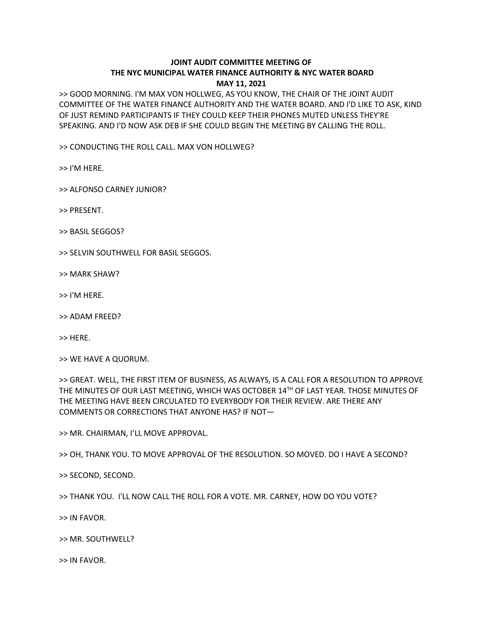## **JOINT AUDIT COMMITTEE MEETING OF THE NYC MUNICIPAL WATER FINANCE AUTHORITY & NYC WATER BOARD MAY 11, 2021**

>> GOOD MORNING. I'M MAX VON HOLLWEG, AS YOU KNOW, THE CHAIR OF THE JOINT AUDIT COMMITTEE OF THE WATER FINANCE AUTHORITY AND THE WATER BOARD. AND I'D LIKE TO ASK, KIND OF JUST REMIND PARTICIPANTS IF THEY COULD KEEP THEIR PHONES MUTED UNLESS THEY'RE SPEAKING. AND I'D NOW ASK DEB IF SHE COULD BEGIN THE MEETING BY CALLING THE ROLL.

>> CONDUCTING THE ROLL CALL. MAX VON HOLLWEG?

>> I'M HERE.

>> ALFONSO CARNEY JUNIOR?

>> PRESENT.

>> BASIL SEGGOS?

>> SELVIN SOUTHWELL FOR BASIL SEGGOS.

>> MARK SHAW?

>> I'M HERE.

>> ADAM FREED?

>> HERE.

>> WE HAVE A QUORUM.

>> GREAT. WELL, THE FIRST ITEM OF BUSINESS, AS ALWAYS, IS A CALL FOR A RESOLUTION TO APPROVE THE MINUTES OF OUR LAST MEETING, WHICH WAS OCTOBER 14TH OF LAST YEAR. THOSE MINUTES OF THE MEETING HAVE BEEN CIRCULATED TO EVERYBODY FOR THEIR REVIEW. ARE THERE ANY COMMENTS OR CORRECTIONS THAT ANYONE HAS? IF NOT—

>> MR. CHAIRMAN, I'LL MOVE APPROVAL.

>> OH, THANK YOU. TO MOVE APPROVAL OF THE RESOLUTION. SO MOVED. DO I HAVE A SECOND?

>> SECOND, SECOND.

>> THANK YOU. I'LL NOW CALL THE ROLL FOR A VOTE. MR. CARNEY, HOW DO YOU VOTE?

>> IN FAVOR.

>> MR. SOUTHWELL?

>> IN FAVOR.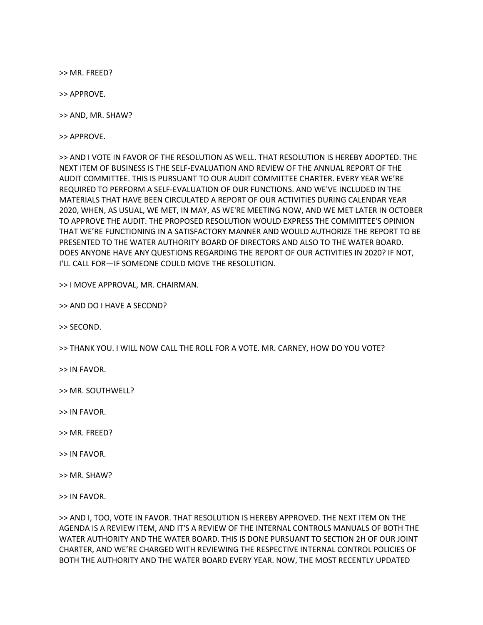>> MR. FREED?

>> APPROVE.

>> AND, MR. SHAW?

>> APPROVE.

>> AND I VOTE IN FAVOR OF THE RESOLUTION AS WELL. THAT RESOLUTION IS HEREBY ADOPTED. THE NEXT ITEM OF BUSINESS IS THE SELF-EVALUATION AND REVIEW OF THE ANNUAL REPORT OF THE AUDIT COMMITTEE. THIS IS PURSUANT TO OUR AUDIT COMMITTEE CHARTER. EVERY YEAR WE'RE REQUIRED TO PERFORM A SELF-EVALUATION OF OUR FUNCTIONS. AND WE'VE INCLUDED IN THE MATERIALS THAT HAVE BEEN CIRCULATED A REPORT OF OUR ACTIVITIES DURING CALENDAR YEAR 2020, WHEN, AS USUAL, WE MET, IN MAY, AS WE'RE MEETING NOW, AND WE MET LATER IN OCTOBER TO APPROVE THE AUDIT. THE PROPOSED RESOLUTION WOULD EXPRESS THE COMMITTEE'S OPINION THAT WE'RE FUNCTIONING IN A SATISFACTORY MANNER AND WOULD AUTHORIZE THE REPORT TO BE PRESENTED TO THE WATER AUTHORITY BOARD OF DIRECTORS AND ALSO TO THE WATER BOARD. DOES ANYONE HAVE ANY QUESTIONS REGARDING THE REPORT OF OUR ACTIVITIES IN 2020? IF NOT, I'LL CALL FOR—IF SOMEONE COULD MOVE THE RESOLUTION.

>> I MOVE APPROVAL, MR. CHAIRMAN.

>> AND DO I HAVE A SECOND?

>> SECOND.

>> THANK YOU. I WILL NOW CALL THE ROLL FOR A VOTE. MR. CARNEY, HOW DO YOU VOTE?

>> IN FAVOR.

>> MR. SOUTHWELL?

>> IN FAVOR.

>> MR. FREED?

>> IN FAVOR.

>> MR. SHAW?

>> IN FAVOR.

>> AND I, TOO, VOTE IN FAVOR. THAT RESOLUTION IS HEREBY APPROVED. THE NEXT ITEM ON THE AGENDA IS A REVIEW ITEM, AND IT'S A REVIEW OF THE INTERNAL CONTROLS MANUALS OF BOTH THE WATER AUTHORITY AND THE WATER BOARD. THIS IS DONE PURSUANT TO SECTION 2H OF OUR JOINT CHARTER, AND WE'RE CHARGED WITH REVIEWING THE RESPECTIVE INTERNAL CONTROL POLICIES OF BOTH THE AUTHORITY AND THE WATER BOARD EVERY YEAR. NOW, THE MOST RECENTLY UPDATED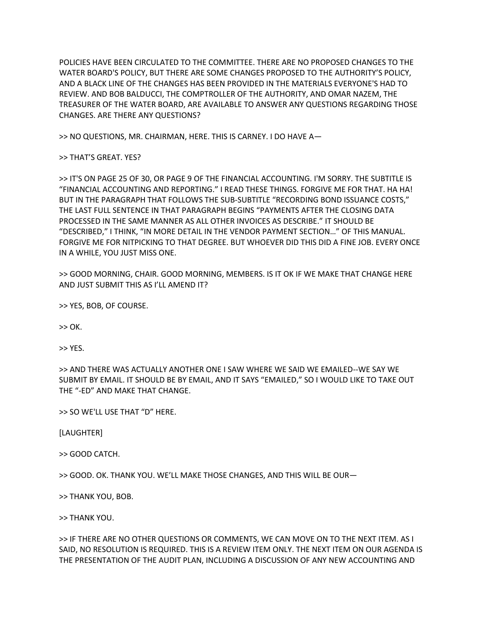POLICIES HAVE BEEN CIRCULATED TO THE COMMITTEE. THERE ARE NO PROPOSED CHANGES TO THE WATER BOARD'S POLICY, BUT THERE ARE SOME CHANGES PROPOSED TO THE AUTHORITY'S POLICY, AND A BLACK LINE OF THE CHANGES HAS BEEN PROVIDED IN THE MATERIALS EVERYONE'S HAD TO REVIEW. AND BOB BALDUCCI, THE COMPTROLLER OF THE AUTHORITY, AND OMAR NAZEM, THE TREASURER OF THE WATER BOARD, ARE AVAILABLE TO ANSWER ANY QUESTIONS REGARDING THOSE CHANGES. ARE THERE ANY QUESTIONS?

>> NO QUESTIONS, MR. CHAIRMAN, HERE. THIS IS CARNEY. I DO HAVE A—

>> THAT'S GREAT. YES?

>> IT'S ON PAGE 25 OF 30, OR PAGE 9 OF THE FINANCIAL ACCOUNTING. I'M SORRY. THE SUBTITLE IS "FINANCIAL ACCOUNTING AND REPORTING." I READ THESE THINGS. FORGIVE ME FOR THAT. HA HA! BUT IN THE PARAGRAPH THAT FOLLOWS THE SUB-SUBTITLE "RECORDING BOND ISSUANCE COSTS," THE LAST FULL SENTENCE IN THAT PARAGRAPH BEGINS "PAYMENTS AFTER THE CLOSING DATA PROCESSED IN THE SAME MANNER AS ALL OTHER INVOICES AS DESCRIBE." IT SHOULD BE "DESCRIBED," I THINK, "IN MORE DETAIL IN THE VENDOR PAYMENT SECTION…" OF THIS MANUAL. FORGIVE ME FOR NITPICKING TO THAT DEGREE. BUT WHOEVER DID THIS DID A FINE JOB. EVERY ONCE IN A WHILE, YOU JUST MISS ONE.

>> GOOD MORNING, CHAIR. GOOD MORNING, MEMBERS. IS IT OK IF WE MAKE THAT CHANGE HERE AND JUST SUBMIT THIS AS I'LL AMEND IT?

>> YES, BOB, OF COURSE.

 $>> OK.$ 

>> YES.

>> AND THERE WAS ACTUALLY ANOTHER ONE I SAW WHERE WE SAID WE EMAILED--WE SAY WE SUBMIT BY EMAIL. IT SHOULD BE BY EMAIL, AND IT SAYS "EMAILED," SO I WOULD LIKE TO TAKE OUT THE "-ED" AND MAKE THAT CHANGE.

>> SO WE'LL USE THAT "D" HERE.

[LAUGHTER]

>> GOOD CATCH.

>> GOOD. OK. THANK YOU. WE'LL MAKE THOSE CHANGES, AND THIS WILL BE OUR—

>> THANK YOU, BOB.

>> THANK YOU.

>> IF THERE ARE NO OTHER QUESTIONS OR COMMENTS, WE CAN MOVE ON TO THE NEXT ITEM. AS I SAID, NO RESOLUTION IS REQUIRED. THIS IS A REVIEW ITEM ONLY. THE NEXT ITEM ON OUR AGENDA IS THE PRESENTATION OF THE AUDIT PLAN, INCLUDING A DISCUSSION OF ANY NEW ACCOUNTING AND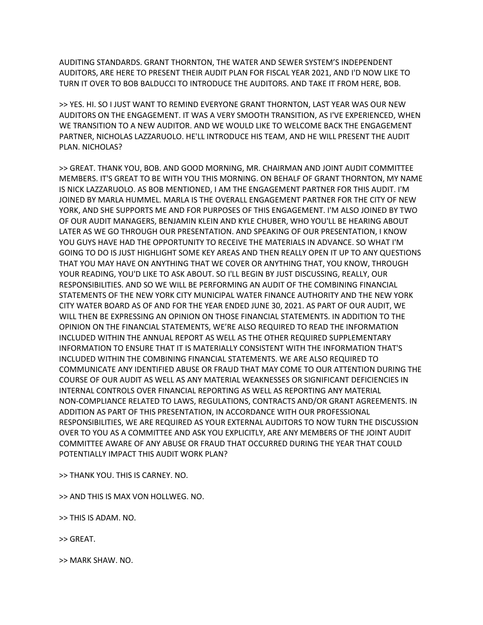AUDITING STANDARDS. GRANT THORNTON, THE WATER AND SEWER SYSTEM'S INDEPENDENT AUDITORS, ARE HERE TO PRESENT THEIR AUDIT PLAN FOR FISCAL YEAR 2021, AND I'D NOW LIKE TO TURN IT OVER TO BOB BALDUCCI TO INTRODUCE THE AUDITORS. AND TAKE IT FROM HERE, BOB.

>> YES. HI. SO I JUST WANT TO REMIND EVERYONE GRANT THORNTON, LAST YEAR WAS OUR NEW AUDITORS ON THE ENGAGEMENT. IT WAS A VERY SMOOTH TRANSITION, AS I'VE EXPERIENCED, WHEN WE TRANSITION TO A NEW AUDITOR. AND WE WOULD LIKE TO WELCOME BACK THE ENGAGEMENT PARTNER, NICHOLAS LAZZARUOLO. HE'LL INTRODUCE HIS TEAM, AND HE WILL PRESENT THE AUDIT PLAN. NICHOLAS?

>> GREAT. THANK YOU, BOB. AND GOOD MORNING, MR. CHAIRMAN AND JOINT AUDIT COMMITTEE MEMBERS. IT'S GREAT TO BE WITH YOU THIS MORNING. ON BEHALF OF GRANT THORNTON, MY NAME IS NICK LAZZARUOLO. AS BOB MENTIONED, I AM THE ENGAGEMENT PARTNER FOR THIS AUDIT. I'M JOINED BY MARLA HUMMEL. MARLA IS THE OVERALL ENGAGEMENT PARTNER FOR THE CITY OF NEW YORK, AND SHE SUPPORTS ME AND FOR PURPOSES OF THIS ENGAGEMENT. I'M ALSO JOINED BY TWO OF OUR AUDIT MANAGERS, BENJAMIN KLEIN AND KYLE CHUBER, WHO YOU'LL BE HEARING ABOUT LATER AS WE GO THROUGH OUR PRESENTATION. AND SPEAKING OF OUR PRESENTATION, I KNOW YOU GUYS HAVE HAD THE OPPORTUNITY TO RECEIVE THE MATERIALS IN ADVANCE. SO WHAT I'M GOING TO DO IS JUST HIGHLIGHT SOME KEY AREAS AND THEN REALLY OPEN IT UP TO ANY QUESTIONS THAT YOU MAY HAVE ON ANYTHING THAT WE COVER OR ANYTHING THAT, YOU KNOW, THROUGH YOUR READING, YOU'D LIKE TO ASK ABOUT. SO I'LL BEGIN BY JUST DISCUSSING, REALLY, OUR RESPONSIBILITIES. AND SO WE WILL BE PERFORMING AN AUDIT OF THE COMBINING FINANCIAL STATEMENTS OF THE NEW YORK CITY MUNICIPAL WATER FINANCE AUTHORITY AND THE NEW YORK CITY WATER BOARD AS OF AND FOR THE YEAR ENDED JUNE 30, 2021. AS PART OF OUR AUDIT, WE WILL THEN BE EXPRESSING AN OPINION ON THOSE FINANCIAL STATEMENTS. IN ADDITION TO THE OPINION ON THE FINANCIAL STATEMENTS, WE'RE ALSO REQUIRED TO READ THE INFORMATION INCLUDED WITHIN THE ANNUAL REPORT AS WELL AS THE OTHER REQUIRED SUPPLEMENTARY INFORMATION TO ENSURE THAT IT IS MATERIALLY CONSISTENT WITH THE INFORMATION THAT'S INCLUDED WITHIN THE COMBINING FINANCIAL STATEMENTS. WE ARE ALSO REQUIRED TO COMMUNICATE ANY IDENTIFIED ABUSE OR FRAUD THAT MAY COME TO OUR ATTENTION DURING THE COURSE OF OUR AUDIT AS WELL AS ANY MATERIAL WEAKNESSES OR SIGNIFICANT DEFICIENCIES IN INTERNAL CONTROLS OVER FINANCIAL REPORTING AS WELL AS REPORTING ANY MATERIAL NON-COMPLIANCE RELATED TO LAWS, REGULATIONS, CONTRACTS AND/OR GRANT AGREEMENTS. IN ADDITION AS PART OF THIS PRESENTATION, IN ACCORDANCE WITH OUR PROFESSIONAL RESPONSIBILITIES, WE ARE REQUIRED AS YOUR EXTERNAL AUDITORS TO NOW TURN THE DISCUSSION OVER TO YOU AS A COMMITTEE AND ASK YOU EXPLICITLY, ARE ANY MEMBERS OF THE JOINT AUDIT COMMITTEE AWARE OF ANY ABUSE OR FRAUD THAT OCCURRED DURING THE YEAR THAT COULD POTENTIALLY IMPACT THIS AUDIT WORK PLAN?

>> THANK YOU. THIS IS CARNEY. NO.

>> AND THIS IS MAX VON HOLLWEG. NO.

>> THIS IS ADAM. NO.

>> GREAT.

>> MARK SHAW. NO.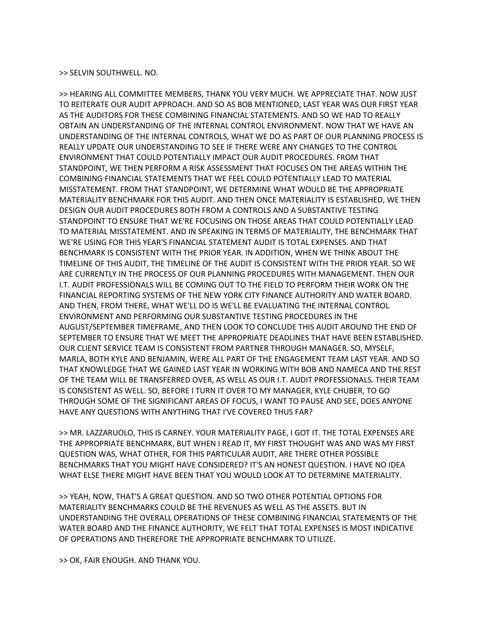## >> SELVIN SOUTHWELL. NO.

>> HEARING ALL COMMITTEE MEMBERS, THANK YOU VERY MUCH. WE APPRECIATE THAT. NOW JUST TO REITERATE OUR AUDIT APPROACH. AND SO AS BOB MENTIONED, LAST YEAR WAS OUR FIRST YEAR AS THE AUDITORS FOR THESE COMBINING FINANCIAL STATEMENTS. AND SO WE HAD TO REALLY OBTAIN AN UNDERSTANDING OF THE INTERNAL CONTROL ENVIRONMENT. NOW THAT WE HAVE AN UNDERSTANDING OF THE INTERNAL CONTROLS, WHAT WE DO AS PART OF OUR PLANNING PROCESS IS REALLY UPDATE OUR UNDERSTANDING TO SEE IF THERE WERE ANY CHANGES TO THE CONTROL ENVIRONMENT THAT COULD POTENTIALLY IMPACT OUR AUDIT PROCEDURES. FROM THAT STANDPOINT, WE THEN PERFORM A RISK ASSESSMENT THAT FOCUSES ON THE AREAS WITHIN THE COMBINING FINANCIAL STATEMENTS THAT WE FEEL COULD POTENTIALLY LEAD TO MATERIAL MISSTATEMENT. FROM THAT STANDPOINT, WE DETERMINE WHAT WOULD BE THE APPROPRIATE MATERIALITY BENCHMARK FOR THIS AUDIT. AND THEN ONCE MATERIALITY IS ESTABLISHED, WE THEN DESIGN OUR AUDIT PROCEDURES BOTH FROM A CONTROLS AND A SUBSTANTIVE TESTING STANDPOINT TO ENSURE THAT WE'RE FOCUSING ON THOSE AREAS THAT COULD POTENTIALLY LEAD TO MATERIAL MISSTATEMENT. AND IN SPEAKING IN TERMS OF MATERIALITY, THE BENCHMARK THAT WE'RE USING FOR THIS YEAR'S FINANCIAL STATEMENT AUDIT IS TOTAL EXPENSES. AND THAT BENCHMARK IS CONSISTENT WITH THE PRIOR YEAR. IN ADDITION, WHEN WE THINK ABOUT THE TIMELINE OF THIS AUDIT, THE TIMELINE OF THE AUDIT IS CONSISTENT WITH THE PRIOR YEAR. SO WE ARE CURRENTLY IN THE PROCESS OF OUR PLANNING PROCEDURES WITH MANAGEMENT. THEN OUR I.T. AUDIT PROFESSIONALS WILL BE COMING OUT TO THE FIELD TO PERFORM THEIR WORK ON THE FINANCIAL REPORTING SYSTEMS OF THE NEW YORK CITY FINANCE AUTHORITY AND WATER BOARD. AND THEN, FROM THERE, WHAT WE'LL DO IS WE'LL BE EVALUATING THE INTERNAL CONTROL ENVIRONMENT AND PERFORMING OUR SUBSTANTIVE TESTING PROCEDURES IN THE AUGUST/SEPTEMBER TIMEFRAME, AND THEN LOOK TO CONCLUDE THIS AUDIT AROUND THE END OF SEPTEMBER TO ENSURE THAT WE MEET THE APPROPRIATE DEADLINES THAT HAVE BEEN ESTABLISHED. OUR CLIENT SERVICE TEAM IS CONSISTENT FROM PARTNER THROUGH MANAGER. SO, MYSELF, MARLA, BOTH KYLE AND BENJAMIN, WERE ALL PART OF THE ENGAGEMENT TEAM LAST YEAR. AND SO THAT KNOWLEDGE THAT WE GAINED LAST YEAR IN WORKING WITH BOB AND NAMECA AND THE REST OF THE TEAM WILL BE TRANSFERRED OVER, AS WELL AS OUR I.T. AUDIT PROFESSIONALS. THEIR TEAM IS CONSISTENT AS WELL. SO, BEFORE I TURN IT OVER TO MY MANAGER, KYLE CHUBER, TO GO THROUGH SOME OF THE SIGNIFICANT AREAS OF FOCUS, I WANT TO PAUSE AND SEE, DOES ANYONE HAVE ANY QUESTIONS WITH ANYTHING THAT I'VE COVERED THUS FAR?

>> MR. LAZZARUOLO, THIS IS CARNEY. YOUR MATERIALITY PAGE, I GOT IT. THE TOTAL EXPENSES ARE THE APPROPRIATE BENCHMARK, BUT WHEN I READ IT, MY FIRST THOUGHT WAS AND WAS MY FIRST QUESTION WAS, WHAT OTHER, FOR THIS PARTICULAR AUDIT, ARE THERE OTHER POSSIBLE BENCHMARKS THAT YOU MIGHT HAVE CONSIDERED? IT'S AN HONEST QUESTION. I HAVE NO IDEA WHAT ELSE THERE MIGHT HAVE BEEN THAT YOU WOULD LOOK AT TO DETERMINE MATERIALITY.

>> YEAH, NOW, THAT'S A GREAT QUESTION. AND SO TWO OTHER POTENTIAL OPTIONS FOR MATERIALITY BENCHMARKS COULD BE THE REVENUES AS WELL AS THE ASSETS. BUT IN UNDERSTANDING THE OVERALL OPERATIONS OF THESE COMBINING FINANCIAL STATEMENTS OF THE WATER BOARD AND THE FINANCE AUTHORITY, WE FELT THAT TOTAL EXPENSES IS MOST INDICATIVE OF OPERATIONS AND THEREFORE THE APPROPRIATE BENCHMARK TO UTILIZE.

>> OK, FAIR ENOUGH. AND THANK YOU.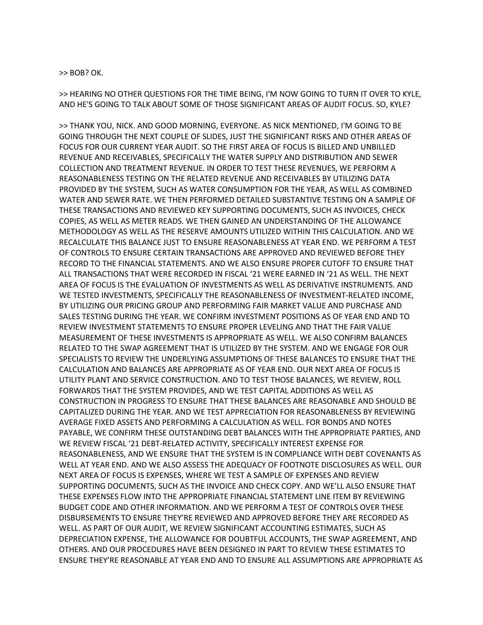## >> BOB? OK.

>> HEARING NO OTHER QUESTIONS FOR THE TIME BEING, I'M NOW GOING TO TURN IT OVER TO KYLE, AND HE'S GOING TO TALK ABOUT SOME OF THOSE SIGNIFICANT AREAS OF AUDIT FOCUS. SO, KYLE?

>> THANK YOU, NICK. AND GOOD MORNING, EVERYONE. AS NICK MENTIONED, I'M GOING TO BE GOING THROUGH THE NEXT COUPLE OF SLIDES, JUST THE SIGNIFICANT RISKS AND OTHER AREAS OF FOCUS FOR OUR CURRENT YEAR AUDIT. SO THE FIRST AREA OF FOCUS IS BILLED AND UNBILLED REVENUE AND RECEIVABLES, SPECIFICALLY THE WATER SUPPLY AND DISTRIBUTION AND SEWER COLLECTION AND TREATMENT REVENUE. IN ORDER TO TEST THESE REVENUES, WE PERFORM A REASONABLENESS TESTING ON THE RELATED REVENUE AND RECEIVABLES BY UTILIZING DATA PROVIDED BY THE SYSTEM, SUCH AS WATER CONSUMPTION FOR THE YEAR, AS WELL AS COMBINED WATER AND SEWER RATE. WE THEN PERFORMED DETAILED SUBSTANTIVE TESTING ON A SAMPLE OF THESE TRANSACTIONS AND REVIEWED KEY SUPPORTING DOCUMENTS, SUCH AS INVOICES, CHECK COPIES, AS WELL AS METER READS. WE THEN GAINED AN UNDERSTANDING OF THE ALLOWANCE METHODOLOGY AS WELL AS THE RESERVE AMOUNTS UTILIZED WITHIN THIS CALCULATION. AND WE RECALCULATE THIS BALANCE JUST TO ENSURE REASONABLENESS AT YEAR END. WE PERFORM A TEST OF CONTROLS TO ENSURE CERTAIN TRANSACTIONS ARE APPROVED AND REVIEWED BEFORE THEY RECORD TO THE FINANCIAL STATEMENTS. AND WE ALSO ENSURE PROPER CUTOFF TO ENSURE THAT ALL TRANSACTIONS THAT WERE RECORDED IN FISCAL '21 WERE EARNED IN '21 AS WELL. THE NEXT AREA OF FOCUS IS THE EVALUATION OF INVESTMENTS AS WELL AS DERIVATIVE INSTRUMENTS. AND WE TESTED INVESTMENTS, SPECIFICALLY THE REASONABLENESS OF INVESTMENT-RELATED INCOME, BY UTILIZING OUR PRICING GROUP AND PERFORMING FAIR MARKET VALUE AND PURCHASE AND SALES TESTING DURING THE YEAR. WE CONFIRM INVESTMENT POSITIONS AS OF YEAR END AND TO REVIEW INVESTMENT STATEMENTS TO ENSURE PROPER LEVELING AND THAT THE FAIR VALUE MEASUREMENT OF THESE INVESTMENTS IS APPROPRIATE AS WELL. WE ALSO CONFIRM BALANCES RELATED TO THE SWAP AGREEMENT THAT IS UTILIZED BY THE SYSTEM. AND WE ENGAGE FOR OUR SPECIALISTS TO REVIEW THE UNDERLYING ASSUMPTIONS OF THESE BALANCES TO ENSURE THAT THE CALCULATION AND BALANCES ARE APPROPRIATE AS OF YEAR END. OUR NEXT AREA OF FOCUS IS UTILITY PLANT AND SERVICE CONSTRUCTION. AND TO TEST THOSE BALANCES, WE REVIEW, ROLL FORWARDS THAT THE SYSTEM PROVIDES, AND WE TEST CAPITAL ADDITIONS AS WELL AS CONSTRUCTION IN PROGRESS TO ENSURE THAT THESE BALANCES ARE REASONABLE AND SHOULD BE CAPITALIZED DURING THE YEAR. AND WE TEST APPRECIATION FOR REASONABLENESS BY REVIEWING AVERAGE FIXED ASSETS AND PERFORMING A CALCULATION AS WELL. FOR BONDS AND NOTES PAYABLE, WE CONFIRM THESE OUTSTANDING DEBT BALANCES WITH THE APPROPRIATE PARTIES, AND WE REVIEW FISCAL '21 DEBT-RELATED ACTIVITY, SPECIFICALLY INTEREST EXPENSE FOR REASONABLENESS, AND WE ENSURE THAT THE SYSTEM IS IN COMPLIANCE WITH DEBT COVENANTS AS WELL AT YEAR END. AND WE ALSO ASSESS THE ADEQUACY OF FOOTNOTE DISCLOSURES AS WELL. OUR NEXT AREA OF FOCUS IS EXPENSES, WHERE WE TEST A SAMPLE OF EXPENSES AND REVIEW SUPPORTING DOCUMENTS, SUCH AS THE INVOICE AND CHECK COPY. AND WE'LL ALSO ENSURE THAT THESE EXPENSES FLOW INTO THE APPROPRIATE FINANCIAL STATEMENT LINE ITEM BY REVIEWING BUDGET CODE AND OTHER INFORMATION. AND WE PERFORM A TEST OF CONTROLS OVER THESE DISBURSEMENTS TO ENSURE THEY'RE REVIEWED AND APPROVED BEFORE THEY ARE RECORDED AS WELL. AS PART OF OUR AUDIT, WE REVIEW SIGNIFICANT ACCOUNTING ESTIMATES, SUCH AS DEPRECIATION EXPENSE, THE ALLOWANCE FOR DOUBTFUL ACCOUNTS, THE SWAP AGREEMENT, AND OTHERS. AND OUR PROCEDURES HAVE BEEN DESIGNED IN PART TO REVIEW THESE ESTIMATES TO ENSURE THEY'RE REASONABLE AT YEAR END AND TO ENSURE ALL ASSUMPTIONS ARE APPROPRIATE AS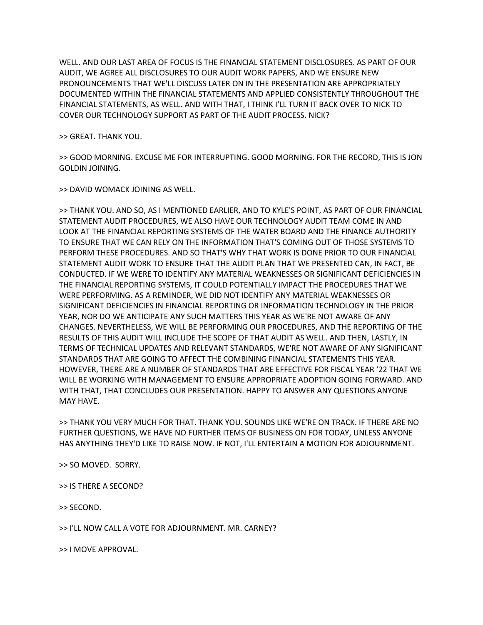WELL. AND OUR LAST AREA OF FOCUS IS THE FINANCIAL STATEMENT DISCLOSURES. AS PART OF OUR AUDIT, WE AGREE ALL DISCLOSURES TO OUR AUDIT WORK PAPERS, AND WE ENSURE NEW PRONOUNCEMENTS THAT WE'LL DISCUSS LATER ON IN THE PRESENTATION ARE APPROPRIATELY DOCUMENTED WITHIN THE FINANCIAL STATEMENTS AND APPLIED CONSISTENTLY THROUGHOUT THE FINANCIAL STATEMENTS, AS WELL. AND WITH THAT, I THINK I'LL TURN IT BACK OVER TO NICK TO COVER OUR TECHNOLOGY SUPPORT AS PART OF THE AUDIT PROCESS. NICK?

>> GREAT. THANK YOU.

>> GOOD MORNING. EXCUSE ME FOR INTERRUPTING. GOOD MORNING. FOR THE RECORD, THIS IS JON GOLDIN JOINING.

>> DAVID WOMACK JOINING AS WELL.

>> THANK YOU. AND SO, AS I MENTIONED EARLIER, AND TO KYLE'S POINT, AS PART OF OUR FINANCIAL STATEMENT AUDIT PROCEDURES, WE ALSO HAVE OUR TECHNOLOGY AUDIT TEAM COME IN AND LOOK AT THE FINANCIAL REPORTING SYSTEMS OF THE WATER BOARD AND THE FINANCE AUTHORITY TO ENSURE THAT WE CAN RELY ON THE INFORMATION THAT'S COMING OUT OF THOSE SYSTEMS TO PERFORM THESE PROCEDURES. AND SO THAT'S WHY THAT WORK IS DONE PRIOR TO OUR FINANCIAL STATEMENT AUDIT WORK TO ENSURE THAT THE AUDIT PLAN THAT WE PRESENTED CAN, IN FACT, BE CONDUCTED. IF WE WERE TO IDENTIFY ANY MATERIAL WEAKNESSES OR SIGNIFICANT DEFICIENCIES IN THE FINANCIAL REPORTING SYSTEMS, IT COULD POTENTIALLY IMPACT THE PROCEDURES THAT WE WERE PERFORMING. AS A REMINDER, WE DID NOT IDENTIFY ANY MATERIAL WEAKNESSES OR SIGNIFICANT DEFICIENCIES IN FINANCIAL REPORTING OR INFORMATION TECHNOLOGY IN THE PRIOR YEAR, NOR DO WE ANTICIPATE ANY SUCH MATTERS THIS YEAR AS WE'RE NOT AWARE OF ANY CHANGES. NEVERTHELESS, WE WILL BE PERFORMING OUR PROCEDURES, AND THE REPORTING OF THE RESULTS OF THIS AUDIT WILL INCLUDE THE SCOPE OF THAT AUDIT AS WELL. AND THEN, LASTLY, IN TERMS OF TECHNICAL UPDATES AND RELEVANT STANDARDS, WE'RE NOT AWARE OF ANY SIGNIFICANT STANDARDS THAT ARE GOING TO AFFECT THE COMBINING FINANCIAL STATEMENTS THIS YEAR. HOWEVER, THERE ARE A NUMBER OF STANDARDS THAT ARE EFFECTIVE FOR FISCAL YEAR '22 THAT WE WILL BE WORKING WITH MANAGEMENT TO ENSURE APPROPRIATE ADOPTION GOING FORWARD. AND WITH THAT, THAT CONCLUDES OUR PRESENTATION. HAPPY TO ANSWER ANY QUESTIONS ANYONE MAY HAVE.

>> THANK YOU VERY MUCH FOR THAT. THANK YOU. SOUNDS LIKE WE'RE ON TRACK. IF THERE ARE NO FURTHER QUESTIONS, WE HAVE NO FURTHER ITEMS OF BUSINESS ON FOR TODAY, UNLESS ANYONE HAS ANYTHING THEY'D LIKE TO RAISE NOW. IF NOT, I'LL ENTERTAIN A MOTION FOR ADJOURNMENT.

>> SO MOVED. SORRY.

>> IS THERE A SECOND?

>> SECOND.

>> I'LL NOW CALL A VOTE FOR ADJOURNMENT. MR. CARNEY?

>> I MOVE APPROVAL.